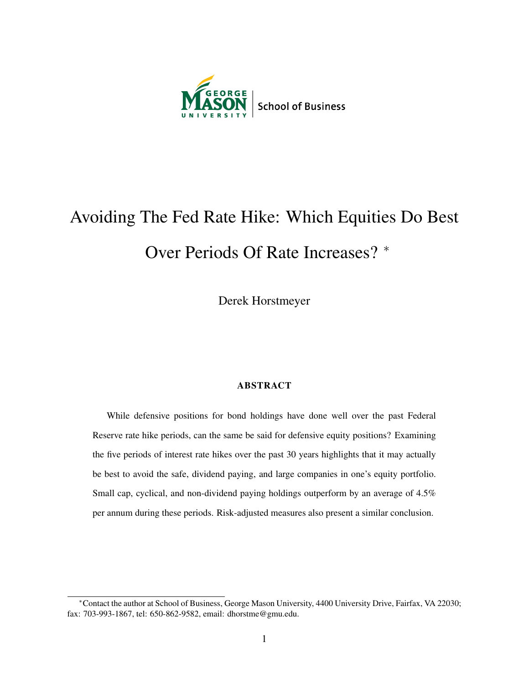

# Avoiding The Fed Rate Hike: Which Equities Do Best

## Over Periods Of Rate Increases? <sup>∗</sup>

Derek Horstmeyer

#### ABSTRACT

While defensive positions for bond holdings have done well over the past Federal Reserve rate hike periods, can the same be said for defensive equity positions? Examining the five periods of interest rate hikes over the past 30 years highlights that it may actually be best to avoid the safe, dividend paying, and large companies in one's equity portfolio. Small cap, cyclical, and non-dividend paying holdings outperform by an average of 4.5% per annum during these periods. Risk-adjusted measures also present a similar conclusion.

<sup>∗</sup>Contact the author at School of Business, George Mason University, 4400 University Drive, Fairfax, VA 22030; fax: 703-993-1867, tel: 650-862-9582, email: dhorstme@gmu.edu.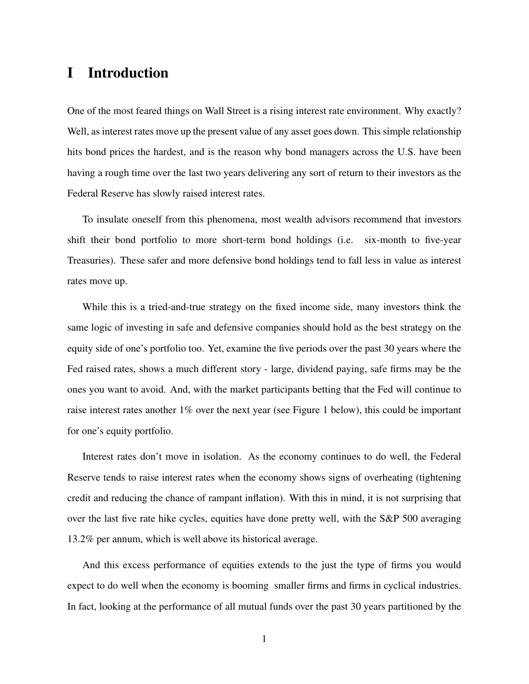## I Introduction

One of the most feared things on Wall Street is a rising interest rate environment. Why exactly? Well, as interest rates move up the present value of any asset goes down. This simple relationship hits bond prices the hardest, and is the reason why bond managers across the U.S. have been having a rough time over the last two years delivering any sort of return to their investors as the Federal Reserve has slowly raised interest rates.

To insulate oneself from this phenomena, most wealth advisors recommend that investors shift their bond portfolio to more short-term bond holdings (i.e. six-month to five-year Treasuries). These safer and more defensive bond holdings tend to fall less in value as interest rates move up.

While this is a tried-and-true strategy on the fixed income side, many investors think the same logic of investing in safe and defensive companies should hold as the best strategy on the equity side of one's portfolio too. Yet, examine the five periods over the past 30 years where the Fed raised rates, shows a much different story - large, dividend paying, safe firms may be the ones you want to avoid. And, with the market participants betting that the Fed will continue to raise interest rates another 1% over the next year (see Figure 1 below), this could be important for one's equity portfolio.

Interest rates don't move in isolation. As the economy continues to do well, the Federal Reserve tends to raise interest rates when the economy shows signs of overheating (tightening credit and reducing the chance of rampant inflation). With this in mind, it is not surprising that over the last five rate hike cycles, equities have done pretty well, with the S&P 500 averaging 13.2% per annum, which is well above its historical average.

And this excess performance of equities extends to the just the type of firms you would expect to do well when the economy is booming smaller firms and firms in cyclical industries. In fact, looking at the performance of all mutual funds over the past 30 years partitioned by the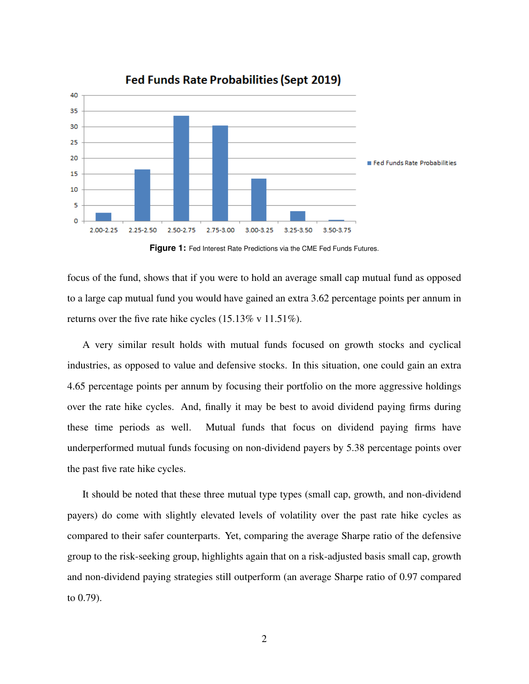

**Fed Funds Rate Probabilities (Sept 2019)** 

**Figure 1:** Fed Interest Rate Predictions via the CME Fed Funds Futures.

focus of the fund, shows that if you were to hold an average small cap mutual fund as opposed to a large cap mutual fund you would have gained an extra 3.62 percentage points per annum in returns over the five rate hike cycles (15.13% v 11.51%).

A very similar result holds with mutual funds focused on growth stocks and cyclical industries, as opposed to value and defensive stocks. In this situation, one could gain an extra 4.65 percentage points per annum by focusing their portfolio on the more aggressive holdings over the rate hike cycles. And, finally it may be best to avoid dividend paying firms during these time periods as well. Mutual funds that focus on dividend paying firms have underperformed mutual funds focusing on non-dividend payers by 5.38 percentage points over the past five rate hike cycles.

It should be noted that these three mutual type types (small cap, growth, and non-dividend payers) do come with slightly elevated levels of volatility over the past rate hike cycles as compared to their safer counterparts. Yet, comparing the average Sharpe ratio of the defensive group to the risk-seeking group, highlights again that on a risk-adjusted basis small cap, growth and non-dividend paying strategies still outperform (an average Sharpe ratio of 0.97 compared to 0.79).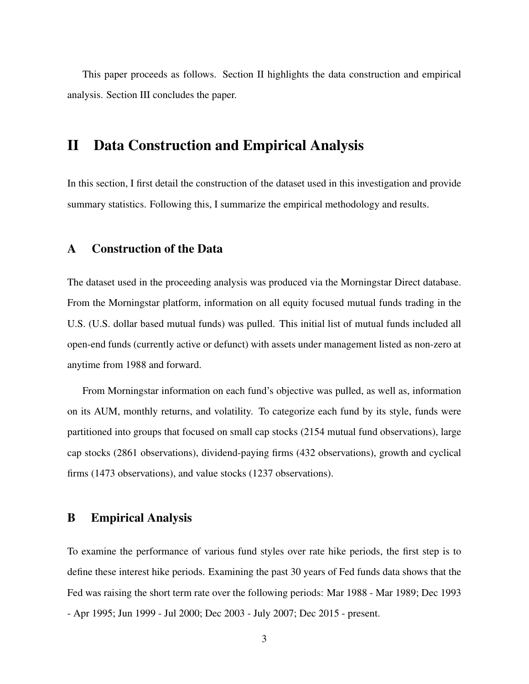This paper proceeds as follows. Section II highlights the data construction and empirical analysis. Section III concludes the paper.

## II Data Construction and Empirical Analysis

In this section, I first detail the construction of the dataset used in this investigation and provide summary statistics. Following this, I summarize the empirical methodology and results.

#### A Construction of the Data

The dataset used in the proceeding analysis was produced via the Morningstar Direct database. From the Morningstar platform, information on all equity focused mutual funds trading in the U.S. (U.S. dollar based mutual funds) was pulled. This initial list of mutual funds included all open-end funds (currently active or defunct) with assets under management listed as non-zero at anytime from 1988 and forward.

From Morningstar information on each fund's objective was pulled, as well as, information on its AUM, monthly returns, and volatility. To categorize each fund by its style, funds were partitioned into groups that focused on small cap stocks (2154 mutual fund observations), large cap stocks (2861 observations), dividend-paying firms (432 observations), growth and cyclical firms (1473 observations), and value stocks (1237 observations).

#### B Empirical Analysis

To examine the performance of various fund styles over rate hike periods, the first step is to define these interest hike periods. Examining the past 30 years of Fed funds data shows that the Fed was raising the short term rate over the following periods: Mar 1988 - Mar 1989; Dec 1993 - Apr 1995; Jun 1999 - Jul 2000; Dec 2003 - July 2007; Dec 2015 - present.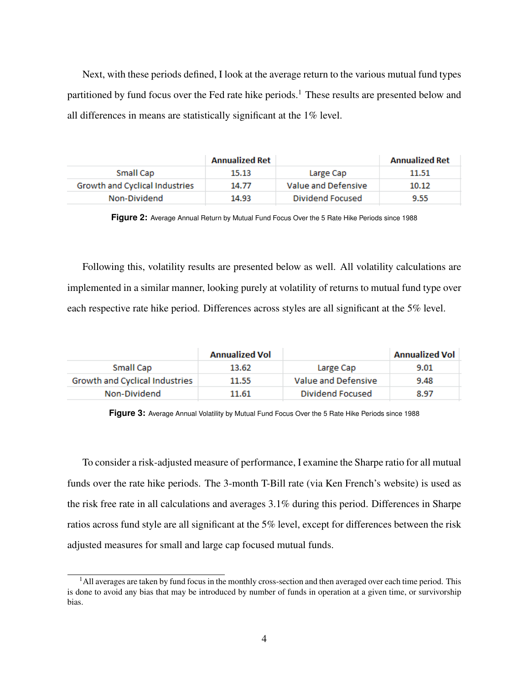Next, with these periods defined, I look at the average return to the various mutual fund types partitioned by fund focus over the Fed rate hike periods.<sup>1</sup> These results are presented below and all differences in means are statistically significant at the 1% level.

|                                | <b>Annualized Ret</b> |                     | <b>Annualized Ret</b> |
|--------------------------------|-----------------------|---------------------|-----------------------|
| Small Cap                      | 15.13                 | Large Cap           | 11.51                 |
| Growth and Cyclical Industries | 14.77                 | Value and Defensive | 10.12                 |
| Non-Dividend                   | 14.93                 | Dividend Focused    | 9.55                  |

**Figure 2:** Average Annual Return by Mutual Fund Focus Over the 5 Rate Hike Periods since 1988

Following this, volatility results are presented below as well. All volatility calculations are implemented in a similar manner, looking purely at volatility of returns to mutual fund type over each respective rate hike period. Differences across styles are all significant at the 5% level.

|                                | <b>Annualized Vol</b> |                     | <b>Annualized Vol</b> |
|--------------------------------|-----------------------|---------------------|-----------------------|
| Small Cap                      | 13.62                 | Large Cap           | 9.01                  |
| Growth and Cyclical Industries | 11.55                 | Value and Defensive | 9.48                  |
| Non-Dividend                   | 11.61                 | Dividend Focused    | 8.97                  |

**Figure 3:** Average Annual Volatility by Mutual Fund Focus Over the 5 Rate Hike Periods since 1988

To consider a risk-adjusted measure of performance, I examine the Sharpe ratio for all mutual funds over the rate hike periods. The 3-month T-Bill rate (via Ken French's website) is used as the risk free rate in all calculations and averages 3.1% during this period. Differences in Sharpe ratios across fund style are all significant at the 5% level, except for differences between the risk adjusted measures for small and large cap focused mutual funds.

 $<sup>1</sup>$ All averages are taken by fund focus in the monthly cross-section and then averaged over each time period. This</sup> is done to avoid any bias that may be introduced by number of funds in operation at a given time, or survivorship bias.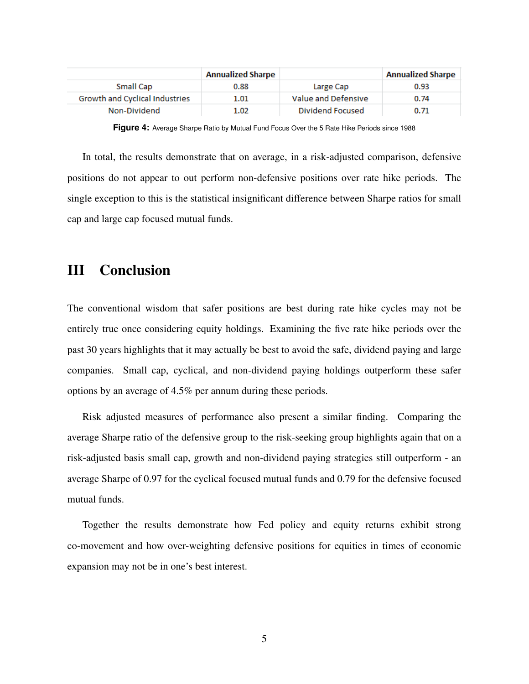|                                | <b>Annualized Sharpe</b> |                     | <b>Annualized Sharpe</b> |
|--------------------------------|--------------------------|---------------------|--------------------------|
| Small Cap                      | 0.88                     | Large Cap           | 0.93                     |
| Growth and Cyclical Industries | 1.01                     | Value and Defensive | 0.74                     |
| Non-Dividend                   | 1.02                     | Dividend Focused    | 0.71                     |

**Figure 4:** Average Sharpe Ratio by Mutual Fund Focus Over the 5 Rate Hike Periods since 1988

In total, the results demonstrate that on average, in a risk-adjusted comparison, defensive positions do not appear to out perform non-defensive positions over rate hike periods. The single exception to this is the statistical insignificant difference between Sharpe ratios for small cap and large cap focused mutual funds.

### III Conclusion

The conventional wisdom that safer positions are best during rate hike cycles may not be entirely true once considering equity holdings. Examining the five rate hike periods over the past 30 years highlights that it may actually be best to avoid the safe, dividend paying and large companies. Small cap, cyclical, and non-dividend paying holdings outperform these safer options by an average of 4.5% per annum during these periods.

Risk adjusted measures of performance also present a similar finding. Comparing the average Sharpe ratio of the defensive group to the risk-seeking group highlights again that on a risk-adjusted basis small cap, growth and non-dividend paying strategies still outperform - an average Sharpe of 0.97 for the cyclical focused mutual funds and 0.79 for the defensive focused mutual funds.

Together the results demonstrate how Fed policy and equity returns exhibit strong co-movement and how over-weighting defensive positions for equities in times of economic expansion may not be in one's best interest.